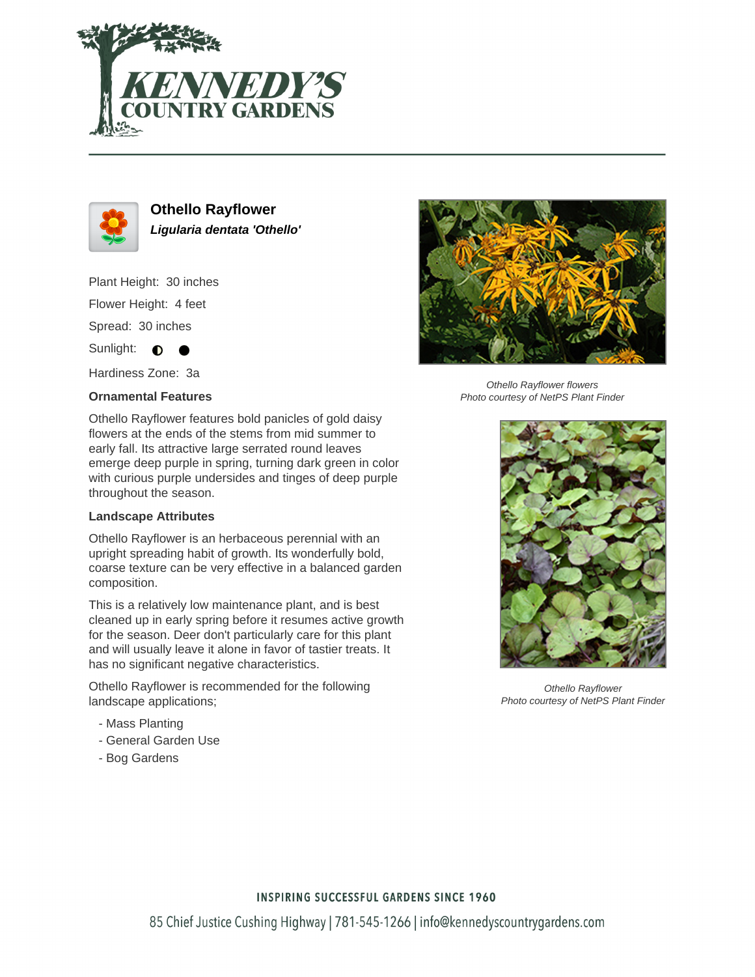



**Othello Rayflower Ligularia dentata 'Othello'**

Plant Height: 30 inches Flower Height: 4 feet Spread: 30 inches

Sunlight:  $\bullet$ 

Hardiness Zone: 3a

## **Ornamental Features**

Othello Rayflower features bold panicles of gold daisy flowers at the ends of the stems from mid summer to early fall. Its attractive large serrated round leaves emerge deep purple in spring, turning dark green in color with curious purple undersides and tinges of deep purple throughout the season.

## **Landscape Attributes**

Othello Rayflower is an herbaceous perennial with an upright spreading habit of growth. Its wonderfully bold, coarse texture can be very effective in a balanced garden composition.

This is a relatively low maintenance plant, and is best cleaned up in early spring before it resumes active growth for the season. Deer don't particularly care for this plant and will usually leave it alone in favor of tastier treats. It has no significant negative characteristics.

Othello Rayflower is recommended for the following landscape applications;

- Mass Planting
- General Garden Use
- Bog Gardens



Othello Rayflower flowers Photo courtesy of NetPS Plant Finder



Othello Rayflower Photo courtesy of NetPS Plant Finder